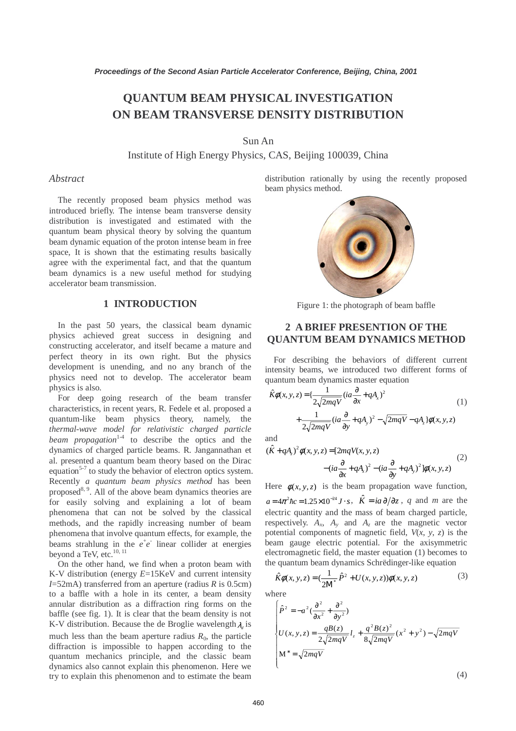# **QUANTUM BEAM PHYSICAL INVESTIGATION ON BEAM TRANSVERSE DENSITY DISTRIBUTION**

### Sun An

Institute of High Energy Physics, CAS, Beijing 100039, China

#### *Abstract*

The recently proposed beam physics method was introduced briefly. The intense beam transverse density distribution is investigated and estimated with the quantum beam physical theory by solving the quantum beam dynamic equation of the proton intense beam in free space, It is shown that the estimating results basically agree with the experimental fact, and that the quantum beam dynamics is a new useful method for studying accelerator beam transmission.

### **1 INTRODUCTION**

In the past 50 years, the classical beam dynamic physics achieved great success in designing and constructing accelerator, and itself became a mature and perfect theory in its own right. But the physics development is unending, and no any branch of the physics need not to develop. The accelerator beam physics is also.

 For deep going research of the beam transfer characteristics, in recent years, R. Fedele et al. proposed a quantum-like beam physics theory, namely, the *thermal-wave model for relativistic charged particle beam propagation*<sup>1-4</sup> to describe the optics and the dynamics of charged particle beams. R. Jangannathan et al. presented a quantum beam theory based on the Dirac equation<sup>5-7</sup> to study the behavior of electron optics system. Recently *a quantum beam physics method* has been proposed<sup>8, 9</sup>. All of the above beam dynamics theories are for easily solving and explaining a lot of beam phenomena that can not be solved by the classical methods, and the rapidly increasing number of beam phenomena that involve quantum effects, for example, the beams strahlung in the  $e^+e^-$  linear collider at energies beyond a TeV, etc.<sup>10, 11</sup>

 On the other hand, we find when a proton beam with K-V distribution (energy *E*=15KeV and current intensity *I*=52mA) transferred from an aperture (radius *R* is 0.5cm) to a baffle with a hole in its center, a beam density annular distribution as a diffraction ring forms on the baffle (see fig. 1). It is clear that the beam density is not K-V distribution. Because the de Broglie wavelength  $\lambda_i$  is much less than the beam aperture radius  $R_0$ , the particle diffraction is impossible to happen according to the quantum mechanics principle, and the classic beam dynamics also cannot explain this phenomenon. Here we try to explain this phenomenon and to estimate the beam distribution rationally by using the recently proposed beam physics method.



Figure 1: the photograph of beam baffle

## **2 A BRIEF PRESENTION OF THE QUANTUM BEAM DYNAMICS METHOD**

For describing the behaviors of different current intensity beams, we introduced two different forms of quantum beam dynamics master equation

$$
\hat{K}\phi(x, y, z) = \left\{\frac{1}{2\sqrt{2mqV}}\left(ia\frac{\partial}{\partial x} + qA_x\right)^2 + \frac{1}{2\sqrt{2mqV}}\left(ia\frac{\partial}{\partial y} + qA_y\right)^2 - \sqrt{2mqV} - qA_z\right\}\phi(x, y, z)
$$
\n(1)

and

$$
(\hat{K} + qA_z)^2 \phi(x, y, z) = [2mqV(x, y, z) - (ia\frac{\partial}{\partial x} + qA_x)^2 - (ia\frac{\partial}{\partial y} + qA_y)^2] \phi(x, y, z)
$$
(2)

Here  $\phi(x, y, z)$  is the beam propagation wave function,  $a = 4\pi^2 \hbar c = 1.25 \times 10^{-24} J \cdot s$ ,  $\hat{K} = ia \partial/\partial z$ , *q* and *m* are the electric quantity and the mass of beam charged particle, respectively.  $A_x$ ,  $A_y$  and  $A_z$  are the magnetic vector potential components of magnetic field, *V*(*x*, *y*, *z*) is the beam gauge electric potential. For the axisymmetric electromagnetic field, the master equation (1) becomes to the quantum beam dynamics Schrëdinger-like equation

$$
\hat{K}\phi(x, y, z) = \left(\frac{1}{2M^*}\hat{P}^2 + U(x, y, z)\right)\phi(x, y, z) \tag{3}
$$

where

$$
\begin{cases}\n\hat{P}^2 = -a^2 \left(\frac{\partial^2}{\partial x^2} + \frac{\partial^2}{\partial y^2}\right) \\
U(x, y, z) = \frac{qB(z)}{2\sqrt{2mqV}} l_z + \frac{q^2 B(z)^2}{8\sqrt{2mqV}} (x^2 + y^2) - \sqrt{2mqV} \\
M^* = \sqrt{2mqV}\n\end{cases}
$$
\n(4)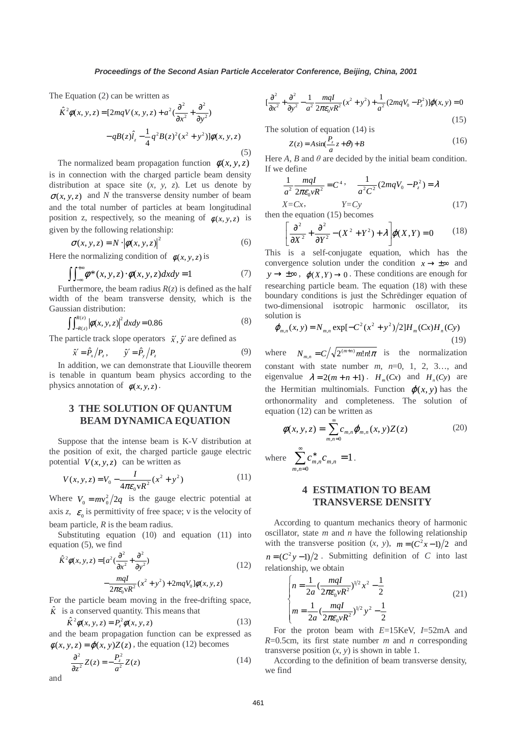The Equation (2) can be written as

$$
\hat{K}^{2}\phi(x, y, z) = [2mqV(x, y, z) + a^{2}(\frac{\partial^{2}}{\partial x^{2}} + \frac{\partial^{2}}{\partial y^{2}}) - qB(z)\hat{l}_{z} - \frac{1}{4}q^{2}B(z)^{2}(x^{2} + y^{2})]\phi(x, y, z)
$$
\n(5)

The normalized beam propagation function  $\phi(x, y, z)$ is in connection with the charged particle beam density distribution at space site (*x, y, z*). Let us denote by  $\sigma(x, y, z)$  and *N* the transverse density number of beam and the total number of particles at beam longitudinal position z, respectively, so the meaning of  $\phi(x, y, z)$  is given by the following relationship: 2

$$
\sigma(x, y, z) = N \cdot |\phi(x, y, z)|^2 \tag{6}
$$

Here the normalizing condition of  $\phi(x, y, z)$  is

$$
\iint_{-\infty}^{+\infty} \phi^*(x, y, z) \cdot \phi(x, y, z) dx dy = 1 \tag{7}
$$

Furthermore, the beam radius  $R(z)$  is defined as the half width of the beam transverse density, which is the Gaussian distribution:

$$
\int_{-R(z)}^{R(z)} |\phi(x, y, z)|^2 dx dy = 0.86
$$
 (8)

The particle track slope operators  $\hat{x}$ ,  $\hat{y}$  are defined as

$$
\hat{x}' = \hat{P}_x / P_z, \qquad \hat{y}' = \hat{P}_y / P_z \tag{9}
$$

 In addition, we can demonstrate that Liouville theorem is tenable in quantum beam physics according to the physics annotation of  $\phi(x, y, z)$ .

## **3 THE SOLUTION OF QUANTUM BEAM DYNAMICA EQUATION**

 Suppose that the intense beam is K-V distribution at the position of exit, the charged particle gauge electric potential  $V(x, y, z)$  can be written as

$$
V(x, y, z) = V_0 - \frac{I}{4\pi\varepsilon_0 vR^2} (x^2 + y^2)
$$
 (11)

 beam particle, *R* is the beam radius. Where  $V_0 = mv_0^2/2q$  is the gauge electric potential at axis *z*,  $\varepsilon$ <sub>0</sub> is permittivity of free space; v is the velocity of

 Substituting equation (10) and equation (11) into equation (5), we find

$$
\hat{K}^{2}\phi(x, y, z) = [a^{2}(\frac{\partial^{2}}{\partial x^{2}} + \frac{\partial^{2}}{\partial y^{2}}) - \frac{mqI}{2\pi\varepsilon_{0}VR^{2}}(x^{2} + y^{2}) + 2mqV_{0}]\phi(x, y, z)
$$
\n(12)

For the particle beam moving in the free-drifting space,  $\hat{K}$  is a conserved quantity. This means that

$$
\hat{K}^2 \phi(x, y, z) = P_z^2 \phi(x, y, z) \tag{13}
$$

and the beam propagation function can be expressed as  $\phi(x, y, z) = \phi(x, y)Z(z)$ , the equation (12) becomes

$$
\frac{\partial^2}{\partial z^2} Z(z) = -\frac{P_z^2}{a^2} Z(z)
$$
 (14)

 $\left[\frac{\partial^2}{\partial x^2} + \frac{\partial^2}{\partial y^2} - \frac{1}{a^2} \frac{mqI}{2\pi\varepsilon_0 vR^2} (x^2 + y^2) + \frac{1}{a^2} (2mqV_0 - P_z^2) \right] \varphi(x, y) = 0$ 2 2  $rac{\partial^2}{\partial x^2} + \frac{\partial^2}{\partial y^2} - \frac{1}{a^2} \frac{mqI}{2\pi\varepsilon_0 vR^2} (x^2 + y^2) + \frac{1}{a^2} (2mqV_0 - P_z^2) \rho(x, y) =$  $\frac{1}{x^2} + \frac{1}{\partial y^2} - \frac{1}{a^2} \frac{1}{2\pi \epsilon_0 v R^2} (x^2 + y^2) + \frac{1}{a^2} (2mqV_0 - P_z^2) \rho$  $(15)$ 

The solution of equation (14) is

$$
Z(z) = A\sin(\frac{P_z}{a}z + \theta) + B
$$
 (16)

Here  $A$ ,  $B$  and  $\theta$  are decided by the initial beam condition. If we define

$$
\frac{1}{a^2} \frac{mqI}{2\pi\varepsilon_0 vR^2} = C^4, \quad \frac{1}{a^2C^2} (2mqV_0 - P_z^2) = \lambda
$$
  
X=Cx, Y=Cy (17)

then the equation (15) becomes

$$
\left[\frac{\partial^2}{\partial X^2} + \frac{\partial^2}{\partial Y^2} - (X^2 + Y^2) + \lambda\right] \varphi(X, Y) = 0 \tag{18}
$$

This is a self-conjugate equation, which has the convergence solution under the condition  $x \rightarrow \pm \infty$  and  $y \rightarrow \pm \infty$ ,  $\varphi(X, Y) \rightarrow 0$ . These conditions are enough for researching particle beam. The equation (18) with these boundary conditions is just the Schrëdinger equation of two-dimensional isotropic harmonic oscillator, its solution is

$$
\varphi_{m,n}(x, y) = N_{m,n} \exp[-C^2(x^2 + y^2)/2]H_m(Cx)H_n(Cy)
$$
\n(19)

where  $N_{m,n} = C / \sqrt{2^{(m+n)}} m! n! \pi$  is the normalization constant with state number *m*, *n*=0, 1, 2, 3…, and eigenvalue  $\lambda = 2(m + n + 1)$ .  $H_m(Cx)$  and  $H_n(Cy)$  are the Hermitian multinomials. Function  $\varphi(x, y)$  has the orthonormality and completeness. The solution of equation (12) can be written as

$$
\phi(x, y, z) = \sum_{m,n=0}^{\infty} c_{m,n} \varphi_{m,n}(x, y) Z(z)
$$
\n(20)

where  $\sum_{m,n} c_{m,n}^* = 1$  $n=0$  $\sum_{m,n}^{\infty} c_{m,n}^{*} c_{m,n} =$ = ∗ *m n*  $c_{m,n}^* c_{m,n} = 1$ .

### **4 ESTIMATION TO BEAM TRANSVERSE DENSITY**

 According to quantum mechanics theory of harmonic oscillator, state *m* and *n* have the following relationship with the transverse position  $(x, y)$ ,  $m = (C^2x-1)/2$  and  $n = (C^2 y - 1)/2$ . Submitting definition of *C* into last relationship, we obtain

$$
\begin{cases}\nn = \frac{1}{2a} \left(\frac{mqI}{2\pi\varepsilon_0 vR^2}\right)^{1/2} x^2 - \frac{1}{2} \\
m = \frac{1}{2a} \left(\frac{mqI}{2\pi\varepsilon_0 vR^2}\right)^{1/2} y^2 - \frac{1}{2}\n\end{cases} \tag{21}
$$

 For the proton beam with *E*=15KeV, *I*=52mA and *R*=0.5cm, its first state number *m* and *n* corresponding transverse position  $(x, y)$  is shown in table 1.

 According to the definition of beam transverse density, we find

and